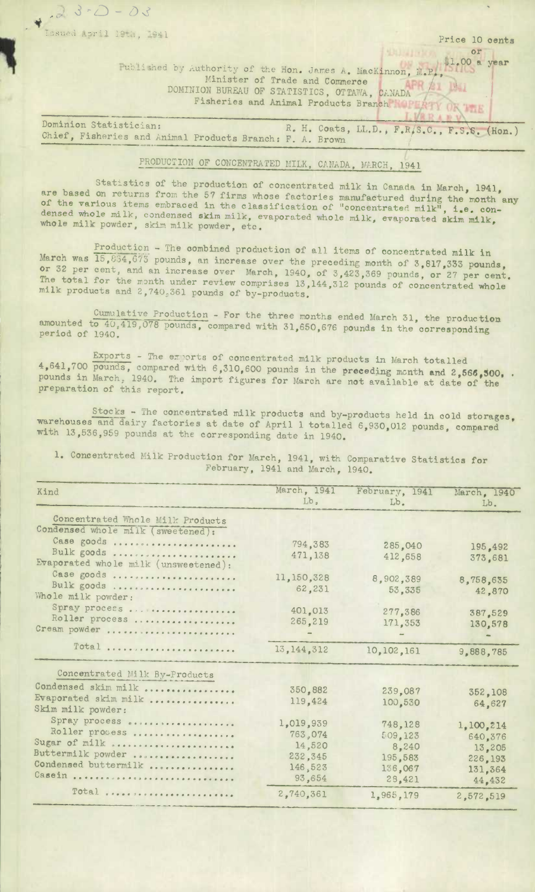$\star$   $3$  -  $0$  -  $03$ <br>Issued April 19th, 19th Price 10 **cents**  or 1.00 a year rublished by Authority of the Hon. James A. MacKinnon, N.P. Minister of Trade and Commerce DOMINION BUREAU OF STATISTICS, OTTAWA, CANADA 7/ *<sup>I</sup>* Fisheries and Animal Products Branch OR THE Dominion Statistician: R. H. Coats, LL.D., F.R.S.C., F.S.S. (Hon.) Chief, Fisheries and Animal Products Branch: F. A. Brown

PRODUCTION OF CONCENTRATED MILK, CANADA, MARCH, 1941

Statistics of the production of concentrated milk in Canada in March, 1941, are based on returns from the 57 firms whose factories manufactured during the month any of the various items embraced in the classification of "concentrated milk", i.e. con-<br>densed whole milk condensed abin ill densed whole milk, condensed skim milk, evaporated whole milk, evaporated skim milk, whole milk powder, skim milk powder, etc.

Production - The oombined production of all items of concentrated milk in March was  $\overline{15,634,673}$  pounds, an increase over the preceding month of 3,817,333 pounds, or 32 per cent, and an increase over March, 1940, of 3,423,369 pounds, or 27 per cent. Interact for the month under review comprises 13,144,312 pounds of concentrated whole milk products and 2,740,361 pounds of by-products.

Cumulative Production - For the three months ended March 31, the production amounted to  $40,419,078$  pounds, compared with 31,650,676 pounds in the corresponding period of 1940.

Exports - The exports of concentrated milk products in March totalled 4,641,700 pounds, compared with 6,310,600 pounds in the preceding month and 2,566,500, . pounds in March, 1940. The import figures for March are not available at date of the preparation of this report.

Stocks - The concentrated milk products and by-products held in cold storages, warehouses and dairy factories at date of April 1 totalled 6,930,012 pounds, compared with 13,536,959 pounds at the corresponding date in 1940.

| Kind                                                                  | March, 1941<br>$Tp^2$ | February, 1941<br>Lb. | March, 1940<br>Lb. |
|-----------------------------------------------------------------------|-----------------------|-----------------------|--------------------|
| Concentrated Whole Milk Products<br>Condensed whole milk (sweetened): |                       |                       |                    |
| Case goods<br>Bulk goods                                              | 794.383               | 285,040               | 195.492            |
| Evaporated whole milk (unsweetened):                                  | 471,138               | 412,658               | 373,681            |
| Case goods                                                            | 11,150,328            | 8,902,389             | 8,758,635          |
| Bulk goods<br>Whole milk powder:                                      | 62,231                | 53,335                | 42,870             |
| Spray process                                                         | 401,013               | 277,386               | 387.529            |
| Roller process                                                        | 265.219               | 171,353               | 130,578            |
| Cream powder                                                          |                       |                       |                    |
| Total                                                                 | 13, 144, 312          | 10, 102, 161          | 9,888,785          |
| Concentrated Milk By-Products                                         |                       |                       |                    |
| Condensed skim milk                                                   | 350,882               | 239.087               | 352,108            |
| Evaporated skim milk                                                  | 119,424               | 100,530               | 64,627             |
| Skim milk powder:                                                     |                       |                       |                    |
| Spray process                                                         | 1,019,939             | 748.128               | 1,100,214          |
| Roller process                                                        | 763,074               | 509, 123              | 640,376            |
| Sugar of milk                                                         | 14,520                | 8,240                 | 13,205             |
| Buttermilk powder                                                     | 232,345               | 195,583               | 226,193            |
| Condensed buttermilk                                                  | 146,523               | 136,067               | 131,364            |
| Casein                                                                | 93,654                | 28,421                | 44,432             |
| Total                                                                 | 2,740.361             | 1,965,179             | 2,572,519          |

1. Concentrated Milk Production for March, 1941, with Comparative Statistics for February, 1941 and March, 1940.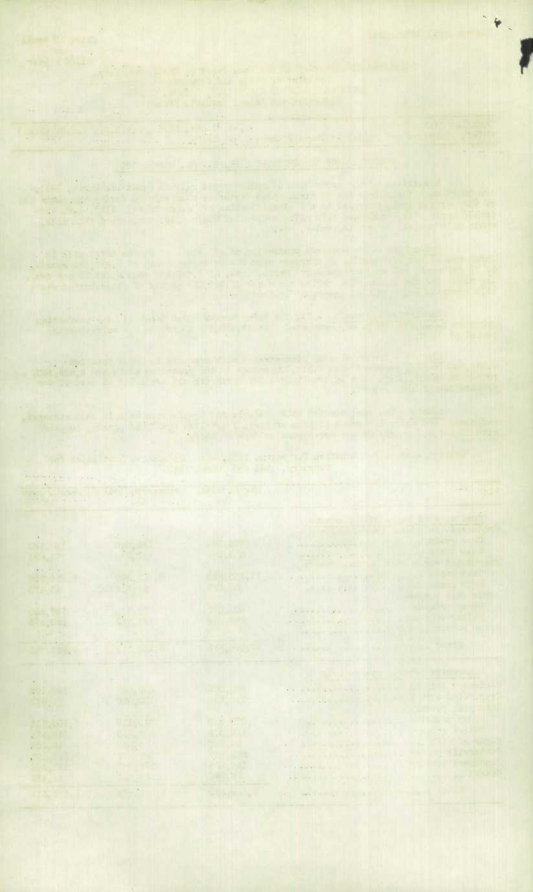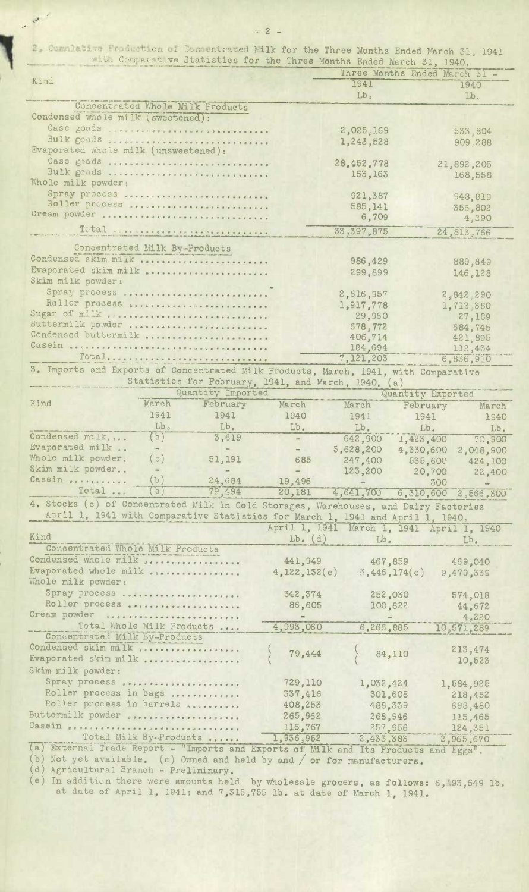$\frac{1}{2}$ 

| standle only a reduction of Concentrated Milk for the Three Months Ended March 31, 1941. |  |  |
|------------------------------------------------------------------------------------------|--|--|
| white Comparative Statistics for the Three Months Ended March 31, 1940.                  |  |  |

|                                             | Three Months Ended March 31 - |            |  |  |
|---------------------------------------------|-------------------------------|------------|--|--|
| Kind                                        | 1941                          | 1940       |  |  |
|                                             | Lb <sub>2</sub>               | Lb.        |  |  |
| Concentrated Whole Milk Products            |                               |            |  |  |
| Condensed whole milk (sweetened):           |                               |            |  |  |
| Case goods presentations and concernational | 2,025,169                     | 533,804    |  |  |
| Bulk goods                                  | 1,243,528                     | 909,288    |  |  |
| Evaporated whole milk (unsweetened):        |                               |            |  |  |
| Case goods                                  | 28,452,778                    | 21,892,205 |  |  |
| Bulk goods                                  | 163, 163                      | 168,558    |  |  |
| Whole milk powder:                          |                               |            |  |  |
| Spray process                               | 921,387                       | 943,819    |  |  |
| Roller process                              | 585,141                       | 356,802    |  |  |
| Cream powder                                | 6,709                         | 4,290      |  |  |
| Total pressesses entertainmenters.          | 33, 397, 875                  | 24,813,766 |  |  |
| Consentrated Milk By-Products               |                               |            |  |  |
| Condensed skim milk                         | 986,429                       | 889,849    |  |  |
| Evaporated skim milk                        | 299,899                       | 146,128    |  |  |
| Skim milk powder:                           |                               |            |  |  |
| Spray process                               | 2,616,957                     | 2,842,290  |  |  |
| Roller process                              | 1,917,778                     | 1,712,380  |  |  |
| Sugar of milk concernment conservations.    | 29,960                        | 27,189     |  |  |
| Buttermilk powder                           | 678.772                       | 684,745    |  |  |
| Condensed buttermilk                        | 406,714                       | 421,895    |  |  |
|                                             | 184,694                       | 112,434    |  |  |
| Total                                       | 7,121,203                     | 6,836,910  |  |  |

3. Imports and Exports of Concentrated Milk Products, March, 1941, with Comparative Statistics for February, 1941, and March, 1940. (a)

|                    | Quantity Imported |          |                   | Quantity Exported |           |           |
|--------------------|-------------------|----------|-------------------|-------------------|-----------|-----------|
| Kind               | March             | February | March             | March             | February  | March     |
|                    | 1941              | 1941     | 1940              | 1941              | 1941      | 1940      |
|                    | Lb <sub>o</sub>   | Lb.      | $Lb$ .            | Lb.               | Lb.       | Lb.       |
| Condensed milk     | (b)               | 3,619    |                   | 642,900           | 1.423,400 | 70,900    |
| Evaporated milk    |                   |          | $\qquad \qquad -$ | 3,628,200         | 4,330,600 | 2,048,900 |
| Whole milk powder. | (b)               | 51,191   | 685               | 247,400           | 535,600   | 424,100   |
| Skim milk powder   |                   |          | <b>The State</b>  | 123,200           | 20,700    | 22,400    |
| Casein             | (Ъ)               | 24,684   | 19,496            |                   | 300       |           |
| Total              | b                 | 79.494   | 20,181            | 4,641,700         | 6,310,600 | 2,566,300 |

4. Stocks (c) of Concentrated Milk in Cold Storages, Warehouses, and Dairy Factories<br>April 1, 1941 with Comparative Statistics for March 1, 1941 and April 1, 1940,

|                                                               |              | April 1, 1941 March 1, 1941 April 1, 1940 |            |
|---------------------------------------------------------------|--------------|-------------------------------------------|------------|
| Kind                                                          |              | $Lb. (d)$ $Lb.$ $Lb.$                     |            |
| Concentrated Whole Milk Products                              |              |                                           |            |
| Condensed whole milk                                          | 441,949      | 467,859                                   | 469,040    |
| Evaporated whole milk                                         | 4,122,132(e) | 5,446,174(e)                              | 9,479,339  |
| Whole milk powder:                                            |              |                                           |            |
| Spray process                                                 | 342,374      | 252,030                                   | 574,018    |
| Roller process                                                | 86,605       | 100,822                                   | 44,672     |
| Cream powder secondered content of the Cream of December 1999 |              |                                           | 4,220      |
| Total Whole Milk Products                                     | 4,993,060    | 6,266,885                                 | 10,571,289 |
| Concentrated Milk By-Products                                 |              |                                           |            |
| Condensed skim milk                                           |              |                                           | 213,474    |
| Evaporated skim milk                                          | 79,444       | 84,110                                    | 10,523     |
| Skim milk powder:                                             |              |                                           |            |
| Spray process                                                 | 729,110      | 1,032,424                                 | 1,584,925  |
| Roller process in bags                                        | 337,416      | 301,608                                   | 218,452    |
| Roller process in barrels                                     | 408,253      | 488,339                                   | 693,480    |
| Buttermilk powder                                             | 265,962      | 268,946                                   | 115,465    |
| Casein esconsistences estable to accessore                    | 116,767      | 257,956                                   | 124,351    |
| Total Milk By-Products                                        | 1.936.952    | 2.433.383                                 | 2.965 670  |

(a) External Trade Report - "Imports and Exports of Milk and Its Products and Eggs".<br>(b) Not yet available. (c) Owned and held by and / or for manufacturers.<br>(d) Agricultural Branch - Preliminary.

(e) In addition there were amounts held by wholesale grocers, as follows: 6,393,649 lb. at date of April 1, 1941; and 7,315,755 lb. at date of March 1, 1941.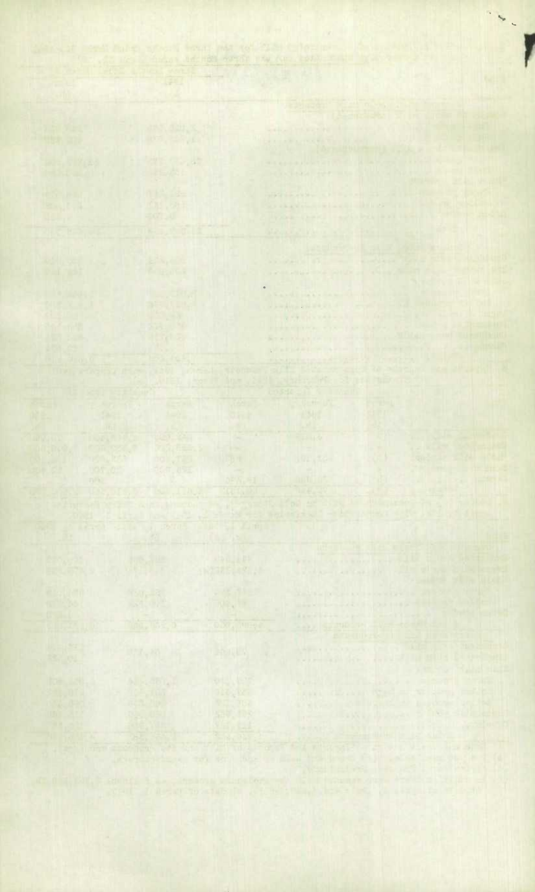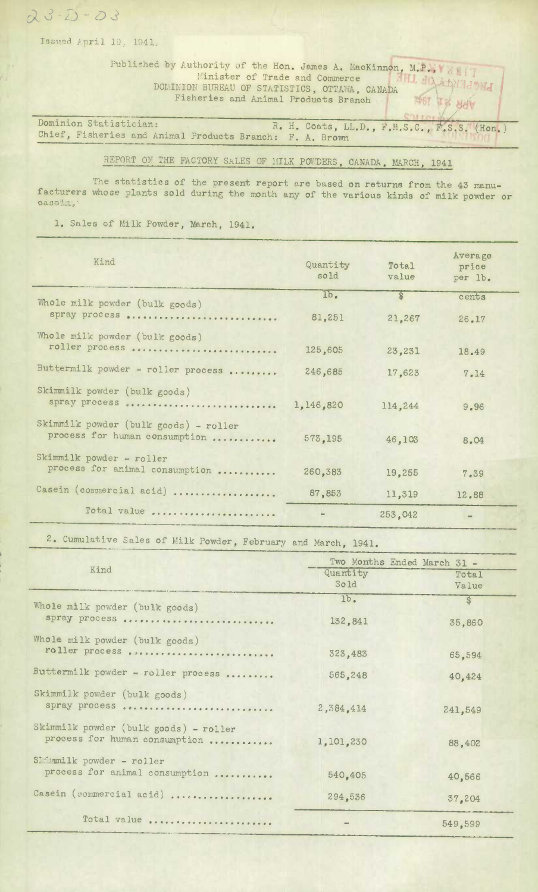Issued April 19, 1941.

23-25-03

Pub1ithed by Authority of the Hon. James A. MacKinnon, Minister of Trade and Commerce DOMINION BUREAU OF STATISTICS, OTTAWA, CANADA DOMINION BUREAU OF STATISTICS, OTTAWA, CANADA Fisheries and Animal Products Branch Dominion Statistician: R. H. Coats, LL.D., F.R.S.C., F.S.S. (Hon.) Chief, Fisheries and Animal Products Branch: F. A. Brown

REPORT ON THE FACTORY SALES OF MILK POrDERS, CANADA, MARCH, 1941

The statistics of the present report are based on returns from the 43 manufacturers whose plants sold during the month any of the **various** kinds of milk powder or

1. Sales of Milk Powder, March, 1941.

| Kind                                  | Quantity<br>sold | Total<br>value | Average<br>price<br>per lb. |
|---------------------------------------|------------------|----------------|-----------------------------|
| Whole milk powder (bulk goods)        | 1 <sub>b</sub>   | $\frac{1}{2}$  | cents                       |
| spray process                         | 81,251           | 21,267         | 26.17                       |
| Whole milk powder (bulk goods)        |                  |                |                             |
| roller process                        | 125,605          | 23,231         | 18.49                       |
| Buttermilk powder - roller process    | 246,685          | 17,623         | 7.14                        |
| Skimmilk powder (bulk goods)          |                  |                |                             |
| spray process                         | 1,146,820        | 114,244        | 9.96                        |
| Skimmilk powder (bulk goods) - roller |                  |                |                             |
| process for human consumption         | 573,195          | 46.103         | 8.04                        |
| Skimmilk powder - roller              |                  |                |                             |
| process for animal consumption        | 260,383          | 19,255         | 7.39                        |
| Casein (commercial acid)              | 87,853           | 11,319         | 12.88                       |
| Total value                           |                  | 253.042        |                             |

2. Cumulative Sales of Milk Powder, February and March, 1941.

|                                       | Two Months Ended March 31 - |         |  |
|---------------------------------------|-----------------------------|---------|--|
| Kind                                  | Quantity                    | Total   |  |
|                                       | Sold                        | Value   |  |
| Whole milk powder (bulk goods)        | 1 <sub>b</sub>              | \$      |  |
| spray process                         | 132,841                     | 35,860  |  |
| Whole milk powder (bulk goods)        |                             |         |  |
| roller process                        | 323,483                     | 65.594  |  |
| Buttermilk powder - roller process    | 565,248                     | 40,424  |  |
| Skimmilk powder (bulk goods)          |                             |         |  |
| spray process                         | 2,384,414                   | 241,549 |  |
| Skimmilk powder (bulk goods) - roller |                             |         |  |
| process for human consumption         | 1,101,230                   | 88,402  |  |
| Shimmilk powder - roller              |                             |         |  |
| process for animal consumption        | 540.405                     | 40,566  |  |
| Casein (commercial acid)              | 294,536                     | 37,204  |  |
| Total value                           |                             | 549.599 |  |